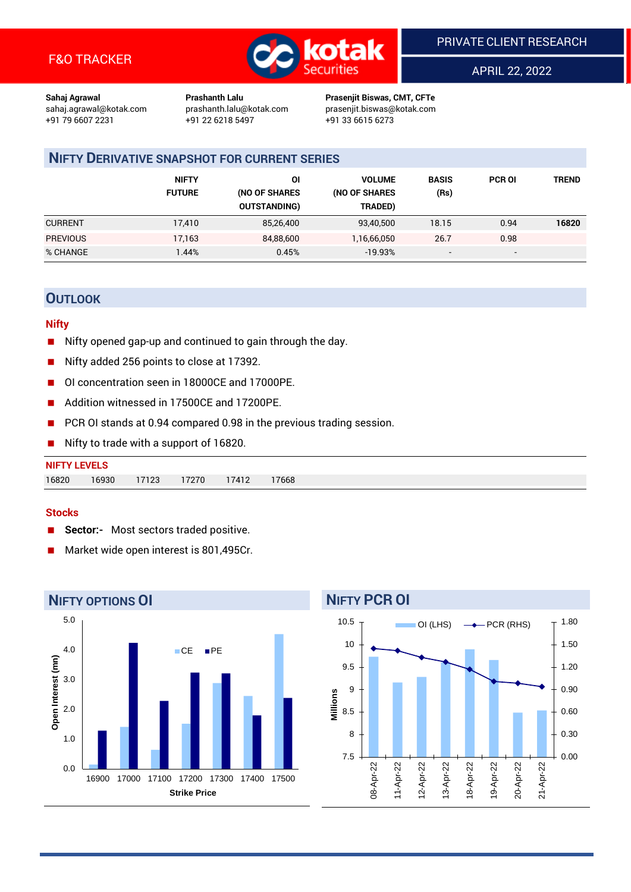

APRIL 22, 2022

**Sahaj Agrawal Prashanth Lalu Prasenjit Biswas, CMT, CFTe** +91 22 6218 5497 +91 33 6615 6273

sahaj.agrawal@kotak.com [prashanth.lalu@kotak.com](mailto:prashanth.lalu@kotak.com) prasenjit.biswas@kotak.com

## **NIFTY DERIVATIVE SNAPSHOT FOR CURRENT SERIES**

|                 | <b>NIFTY</b><br><b>FUTURE</b> | ΟI<br>(NO OF SHARES<br><b>OUTSTANDING)</b> | <b>VOLUME</b><br>(NO OF SHARES<br>TRADED) | <b>BASIS</b><br>(Rs)     | <b>PCR OI</b>            | TREND |
|-----------------|-------------------------------|--------------------------------------------|-------------------------------------------|--------------------------|--------------------------|-------|
| <b>CURRENT</b>  | 17.410                        | 85,26,400                                  | 93,40,500                                 | 18.15                    | 0.94                     | 16820 |
| <b>PREVIOUS</b> | 17,163                        | 84,88,600                                  | 1,16,66,050                               | 26.7                     | 0.98                     |       |
| % CHANGE        | .44%                          | 0.45%                                      | $-19.93%$                                 | $\overline{\phantom{a}}$ | $\overline{\phantom{0}}$ |       |

## **OUTLOOK**

## **Nifty**

- Nifty opened gap-up and continued to gain through the day.
- Nifty added 256 points to close at 17392.
- OI concentration seen in 18000CE and 17000PE.
- Addition witnessed in 17500CE and 17200PE.
- PCR OI stands at 0.94 compared 0.98 in the previous trading session.
- Nifty to trade with a support of 16820.

| <b>NIFTY LEVELS</b> |       |       |       |       |       |
|---------------------|-------|-------|-------|-------|-------|
| 16820               | 16930 | 17123 | 17270 | 17412 | 17668 |

### **Stocks**

- **Sector:-** Most sectors traded positive.
- Market wide open interest is 801,495Cr.



## **NIFTY PCR OI**

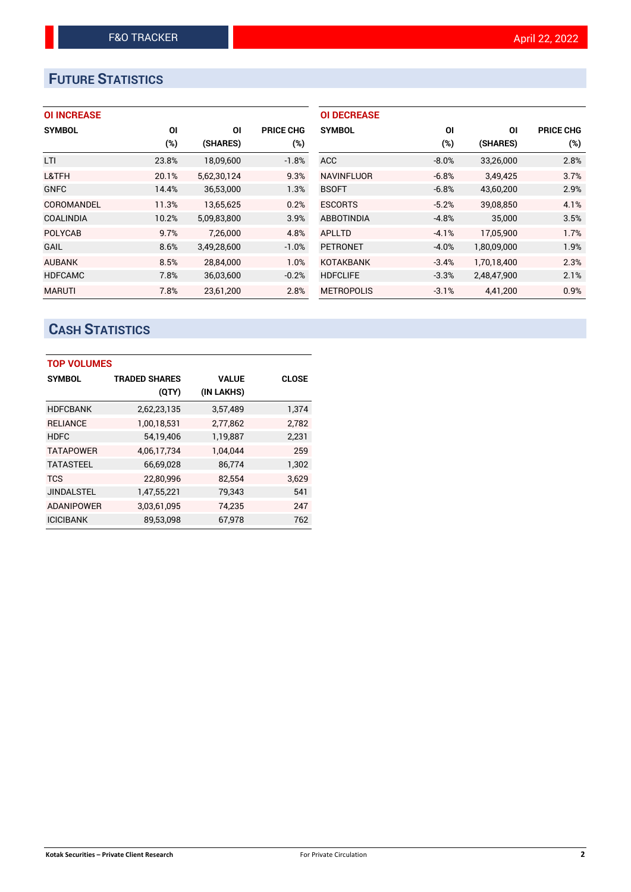# **FUTURE STATISTICS**

## **OI INCREASE**

| <b>SYMBOL</b>     | OI    | ΟI          | <b>PRICE CHG</b> |
|-------------------|-------|-------------|------------------|
|                   | (%)   | (SHARES)    | (%)              |
| LTI               | 23.8% | 18,09,600   | $-1.8%$          |
| L&TFH             | 20.1% | 5,62,30,124 | 9.3%             |
| <b>GNFC</b>       | 14.4% | 36,53,000   | 1.3%             |
| <b>COROMANDEL</b> | 11.3% | 13,65,625   | 0.2%             |
| <b>COALINDIA</b>  | 10.2% | 5,09,83,800 | 3.9%             |
| <b>POLYCAB</b>    | 9.7%  | 7.26.000    | 4.8%             |
| <b>GAIL</b>       | 8.6%  | 3,49,28,600 | $-1.0%$          |
| <b>AUBANK</b>     | 8.5%  | 28.84.000   | 1.0%             |
| <b>HDFCAMC</b>    | 7.8%  | 36,03,600   | $-0.2%$          |
| <b>MARUTI</b>     | 7.8%  | 23,61,200   | 2.8%             |

| <b>OI DECREASE</b> |          |             |                  |
|--------------------|----------|-------------|------------------|
| <b>SYMBOL</b>      | ΟI       | ΟI          | <b>PRICE CHG</b> |
|                    | (%)      | (SHARES)    | (%)              |
| <b>ACC</b>         | $-8.0\%$ | 33,26,000   | 2.8%             |
| <b>NAVINFLUOR</b>  | $-6.8%$  | 3.49.425    | 3.7%             |
| <b>BSOFT</b>       | $-6.8%$  | 43,60,200   | 2.9%             |
| <b>ESCORTS</b>     | $-5.2%$  | 39,08,850   | 4.1%             |
| <b>ABBOTINDIA</b>  | $-4.8%$  | 35,000      | 3.5%             |
| APLLTD             | $-4.1%$  | 17,05,900   | 1.7%             |
| <b>PETRONET</b>    | $-4.0%$  | 1,80,09,000 | 1.9%             |
| <b>KOTAKBANK</b>   | $-3.4%$  | 1.70.18.400 | 2.3%             |
| <b>HDFCLIFE</b>    | $-3.3%$  | 2,48,47,900 | 2.1%             |
| <b>METROPOLIS</b>  | $-3.1%$  | 4,41,200    | 0.9%             |

# **CASH STATISTICS**

| <b>TOP VOLUMES</b> |                      |              |              |  |  |  |  |
|--------------------|----------------------|--------------|--------------|--|--|--|--|
| <b>SYMBOL</b>      | <b>TRADED SHARES</b> | <b>VALUE</b> | <b>CLOSE</b> |  |  |  |  |
|                    | (QTY)                | (IN LAKHS)   |              |  |  |  |  |
| <b>HDFCBANK</b>    | 2,62,23,135          | 3,57,489     | 1,374        |  |  |  |  |
| <b>RELIANCE</b>    | 1,00,18,531          | 2,77,862     | 2.782        |  |  |  |  |
| <b>HDFC</b>        | 54,19,406            | 1,19,887     | 2,231        |  |  |  |  |
| <b>TATAPOWER</b>   | 4,06,17,734          | 1.04.044     | 259          |  |  |  |  |
| <b>TATASTEEL</b>   | 66,69,028            | 86,774       | 1,302        |  |  |  |  |
| <b>TCS</b>         | 22,80,996            | 82,554       | 3.629        |  |  |  |  |
| <b>JINDALSTEL</b>  | 1,47,55,221          | 79,343       | 541          |  |  |  |  |
| <b>ADANIPOWER</b>  | 3,03,61,095          | 74,235       | 247          |  |  |  |  |
| <b>ICICIBANK</b>   | 89,53,098            | 67,978       | 762          |  |  |  |  |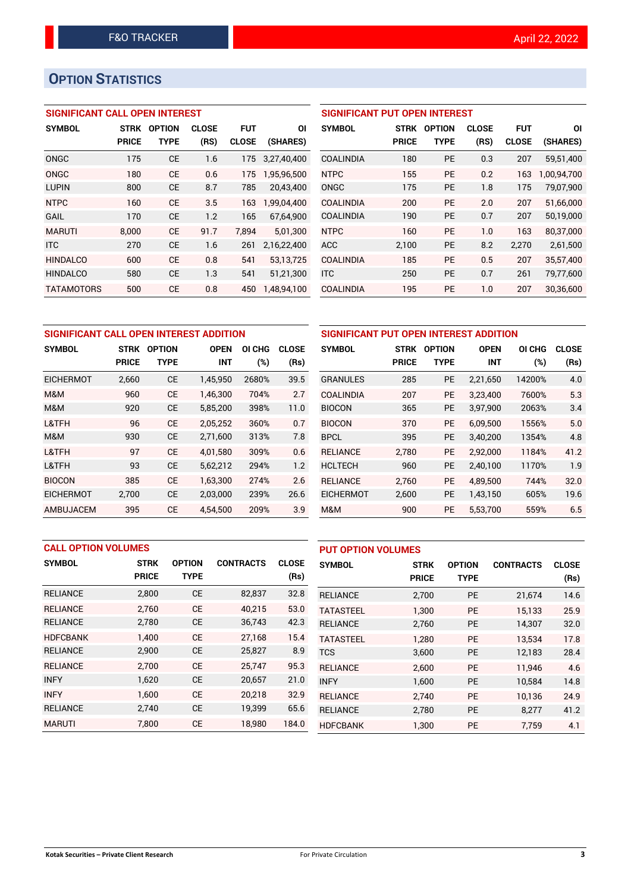# **OPTION STATISTICS**

## **SIGNIFICANT CALL OPEN INTEREST**

| <b>SYMBOL</b>     | <b>STRK</b>  | <b>OPTION</b> | <b>CLOSE</b> | <b>FUT</b>   | ΟI          |
|-------------------|--------------|---------------|--------------|--------------|-------------|
|                   | <b>PRICE</b> | <b>TYPE</b>   | (RS)         | <b>CLOSE</b> | (SHARES)    |
| ONGC              | 175          | CE            | 1.6          | 175          | 3.27.40.400 |
| ONGC              | 180          | CF            | 0.6          | 175          | 1,95,96,500 |
| <b>LUPIN</b>      | 800          | CE            | 8.7          | 785          | 20.43.400   |
| <b>NTPC</b>       | 160          | CE            | 3.5          | 163          | 1,99,04,400 |
| GAIL              | 170          | СE            | 1.2          | 165          | 67,64,900   |
| <b>MARUTI</b>     | 8,000        | CE            | 91.7         | 7,894        | 5,01,300    |
| <b>ITC</b>        | 270          | СE            | 1.6          | 261          | 2,16,22,400 |
| <b>HINDALCO</b>   | 600          | CE            | 0.8          | 541          | 53,13,725   |
| <b>HINDALCO</b>   | 580          | CE            | 1.3          | 541          | 51,21,300   |
| <b>TATAMOTORS</b> | 500          | СE            | 0.8          | 450          | 1.48.94.100 |

| <b>SIGNIFICANT PUT OPEN INTEREST</b> |             |               |              |              |             |  |  |
|--------------------------------------|-------------|---------------|--------------|--------------|-------------|--|--|
| <b>SYMBOL</b>                        | <b>STRK</b> | <b>OPTION</b> | <b>CLOSE</b> | FUT          | ΟI          |  |  |
|                                      | PRICE       | <b>TYPE</b>   | (RS)         | <b>CLOSE</b> | (SHARES)    |  |  |
| <b>COALINDIA</b>                     | 180         | <b>PE</b>     | 0.3          | 207          | 59,51,400   |  |  |
| <b>NTPC</b>                          | 155         | <b>PE</b>     | 0.2          | 163          | 1,00,94,700 |  |  |
| ONGC                                 | 175         | <b>PE</b>     | 1.8          | 175          | 79,07,900   |  |  |
| <b>COALINDIA</b>                     | 200         | <b>PE</b>     | 2.0          | 207          | 51,66,000   |  |  |
| <b>COALINDIA</b>                     | 190         | <b>PE</b>     | 0.7          | 207          | 50,19,000   |  |  |
| <b>NTPC</b>                          | 160         | <b>PE</b>     | 1.0          | 163          | 80,37,000   |  |  |
| <b>ACC</b>                           | 2,100       | <b>PE</b>     | 8.2          | 2,270        | 2,61,500    |  |  |
| <b>COALINDIA</b>                     | 185         | <b>PE</b>     | 0.5          | 207          | 35,57,400   |  |  |
| <b>ITC</b>                           | 250         | <b>PE</b>     | 0.7          | 261          | 79,77,600   |  |  |
| <b>COALINDIA</b>                     | 195         | <b>PE</b>     | 1.0          | 207          | 30,36,600   |  |  |

| SIGNIFICANT CALL OPEN INTEREST ADDITION |              |               |             |                  |              | SIGNIFICANT PUT OPEN INTEREST ADDITION |              |               |             |        |              |
|-----------------------------------------|--------------|---------------|-------------|------------------|--------------|----------------------------------------|--------------|---------------|-------------|--------|--------------|
| <b>SYMBOL</b>                           | <b>STRK</b>  | <b>OPTION</b> | <b>OPEN</b> | ΟI<br><b>CHG</b> | <b>CLOSE</b> | <b>SYMBOL</b>                          | <b>STRK</b>  | <b>OPTION</b> | <b>OPEN</b> | OI CHG | <b>CLOSE</b> |
|                                         | <b>PRICE</b> | <b>TYPE</b>   | <b>INT</b>  | (%)              | (Rs)         |                                        | <b>PRICE</b> | <b>TYPE</b>   | <b>INT</b>  | (%)    | (Rs)         |
| <b>EICHERMOT</b>                        | 2,660        | <b>CE</b>     | 1,45,950    | 2680%            | 39.5         | <b>GRANULES</b>                        | 285          | <b>PE</b>     | 2,21,650    | 14200% | 4.0          |
| M&M                                     | 960          | <b>CE</b>     | 1,46,300    | 704%             | 2.7          | <b>COALINDIA</b>                       | 207          | <b>PE</b>     | 3.23.400    | 7600%  | 5.3          |
| M&M                                     | 920          | <b>CE</b>     | 5,85,200    | 398%             | 11.0         | <b>BIOCON</b>                          | 365          | <b>PE</b>     | 3.97.900    | 2063%  | 3.4          |
| L&TFH                                   | 96           | <b>CE</b>     | 2,05,252    | 360%             | 0.7          | <b>BIOCON</b>                          | 370          | <b>PE</b>     | 6.09.500    | 1556%  | 5.0          |
| M&M                                     | 930          | <b>CE</b>     | 2,71,600    | 313%             | 7.8          | <b>BPCL</b>                            | 395          | PE            | 3,40,200    | 1354%  | 4.8          |
| L&TFH                                   | 97           | <b>CE</b>     | 4.01.580    | 309%             | 0.6          | <b>RELIANCE</b>                        | 2,780        | <b>PE</b>     | 2,92,000    | 1184%  | 41.2         |
| L&TFH                                   | 93           | <b>CE</b>     | 5,62,212    | 294%             | 1.2          | <b>HCLTECH</b>                         | 960          | <b>PE</b>     | 2.40.100    | 1170%  | 1.9          |
| <b>BIOCON</b>                           | 385          | <b>CE</b>     | 1.63.300    | 274%             | 2.6          | <b>RELIANCE</b>                        | 2.760        | <b>PE</b>     | 4.89.500    | 744%   | 32.0         |
| <b>EICHERMOT</b>                        | 2,700        | <b>CE</b>     | 2,03,000    | 239%             | 26.6         | <b>EICHERMOT</b>                       | 2,600        | <b>PE</b>     | 1,43,150    | 605%   | 19.6         |
| AMBUJACEM                               | 395          | <b>CE</b>     | 4.54.500    | 209%             | 3.9          | M&M                                    | 900          | <b>PE</b>     | 5,53,700    | 559%   | 6.5          |

| <b>CALL OPTION VOLUMES</b> |              |               |                  |              | <b>PUT OPTION VOLUMES</b> |              |               |                  |              |
|----------------------------|--------------|---------------|------------------|--------------|---------------------------|--------------|---------------|------------------|--------------|
| <b>SYMBOL</b>              | <b>STRK</b>  | <b>OPTION</b> | <b>CONTRACTS</b> | <b>CLOSE</b> | <b>SYMBOL</b>             | <b>STRK</b>  | <b>OPTION</b> | <b>CONTRACTS</b> | <b>CLOSE</b> |
|                            | <b>PRICE</b> | <b>TYPE</b>   |                  | (Rs)         |                           | <b>PRICE</b> | <b>TYPE</b>   |                  | (Rs)         |
| <b>RELIANCE</b>            | 2,800        | <b>CE</b>     | 82,837           | 32.8         | <b>RELIANCE</b>           | 2,700        | PE            | 21,674           | 14.6         |
| <b>RELIANCE</b>            | 2.760        | <b>CE</b>     | 40,215           | 53.0         | <b>TATASTEEL</b>          | 1.300        | <b>PE</b>     | 15.133           | 25.9         |
| <b>RELIANCE</b>            | 2,780        | <b>CE</b>     | 36,743           | 42.3         | <b>RELIANCE</b>           | 2,760        | <b>PE</b>     | 14,307           | 32.0         |
| <b>HDFCBANK</b>            | 1,400        | <b>CE</b>     | 27,168           | 15.4         | <b>TATASTEEL</b>          | 1.280        | <b>PE</b>     | 13.534           | 17.8         |
| <b>RELIANCE</b>            | 2,900        | <b>CE</b>     | 25,827           | 8.9          | <b>TCS</b>                | 3,600        | <b>PE</b>     | 12,183           | 28.4         |
| <b>RELIANCE</b>            | 2.700        | <b>CE</b>     | 25,747           | 95.3         | <b>RELIANCE</b>           | 2.600        | <b>PE</b>     | 11.946           | 4.6          |
| <b>INFY</b>                | 1,620        | <b>CE</b>     | 20,657           | 21.0         | <b>INFY</b>               | 1,600        | <b>PE</b>     | 10,584           | 14.8         |
| <b>INFY</b>                | 1.600        | <b>CE</b>     | 20,218           | 32.9         | <b>RELIANCE</b>           | 2.740        | <b>PE</b>     | 10,136           | 24.9         |
| <b>RELIANCE</b>            | 2,740        | <b>CE</b>     | 19,399           | 65.6         | <b>RELIANCE</b>           | 2,780        | <b>PE</b>     | 8,277            | 41.2         |
| <b>MARUTI</b>              | 7,800        | <b>CE</b>     | 18,980           | 184.0        | <b>HDFCBANK</b>           | 1.300        | <b>PE</b>     | 7.759            | 4.1          |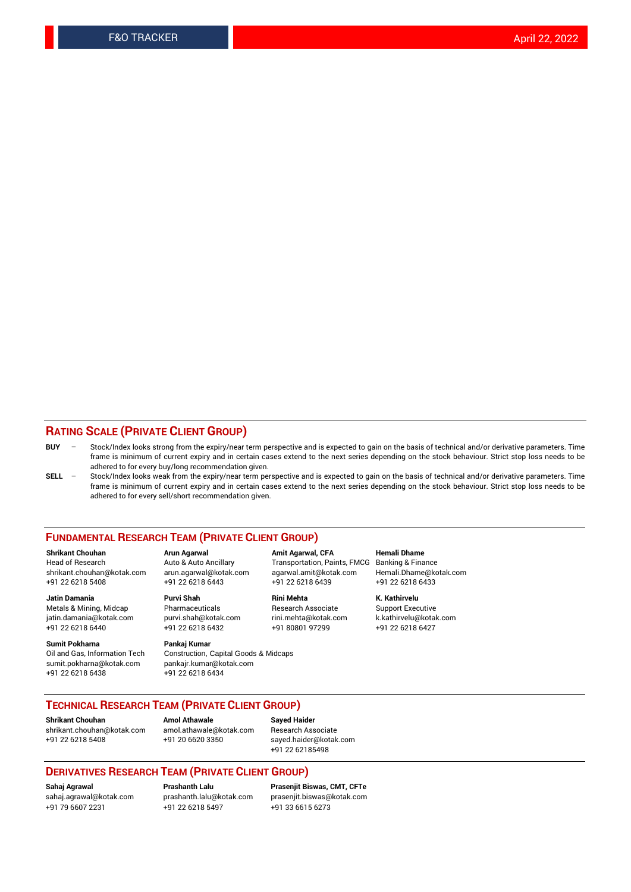## **RATING SCALE (PRIVATE CLIENT GROUP)**

| <b>BUY</b> | Stock/Index looks strong from the expiry/near term perspective and is expected to gain on the basis of technical and/or derivative parameters. Time |
|------------|-----------------------------------------------------------------------------------------------------------------------------------------------------|
|            | frame is minimum of current expiry and in certain cases extend to the next series depending on the stock behaviour. Strict stop loss needs to be    |
|            | adhered to for every buy/long recommendation given.                                                                                                 |

**SELL** – Stock/Index looks weak from the expiry/near term perspective and is expected to gain on the basis of technical and/or derivative parameters. Time frame is minimum of current expiry and in certain cases extend to the next series depending on the stock behaviour. Strict stop loss needs to be adhered to for every sell/short recommendation given.

#### **FUNDAMENTAL RESEARCH TEAM (PRIVATE CLIENT GROUP)**

**Shrikant Chouhan Arun Agarwal Amit Agarwal, CFA Hemali Dhame** shrikant.chouhan@kotak.com arun.agarwal@kotak.com agarwal.amit@kotak.com Hemali.Dhame@kotak.com +91 22 6218 5408 +91 22 6218 6443 +91 22 6218 6439 +91 22 6218 6433

Metals & Mining, Midcap Pharmaceuticals Pharmaceuticals Research Associate Support Executive<br>http://windamania@kotak.com purvi.shah@kotak.com rini.mehta@kotak.com k.kathirvelu@kotak.com jatin.damania@kotak.com

**Sumit Pokharna** Pankaj Kumar<br>Oil and Gas, Information Tech Construction, Q sumit.pokharna@kotak.com pankajr.kumar@kotak.com +91 22 6218 6438 +91 22 6218 6434

Construction, Capital Goods & Midcaps

Transportation, Paints, FMCG Banking & Finance

**Jatin Damania Purvi Shah Rini Mehta K. Kathirvelu** +91 22 6218 6440 +91 22 6218 6432 +91 80801 97299 +91 22 6218 6427

## **TECHNICAL RESEARCH TEAM (PRIVATE CLIENT GROUP)**

**Shrikant Chouhan Amol Athawale Sayed Haider** [shrikant.chouhan@kotak.com](mailto:shrikant.chouhan@kotak.com) [amol.athawale@kotak.com](mailto:amol.athawale@kotak.com) Research Associate +91 22 6218 5408 +91 20 6620 3350 [sayed.haider@kotak.com](mailto:sayed.haider@kotak.com)

+91 22 62185498

#### **DERIVATIVES RESEARCH TEAM (PRIVATE CLIENT GROUP)**

+91 79 6607 2231 +91 22 6218 5497 +91 33 6615 6273

**Sahaj Agrawal Prashanth Lalu Prasenjit Biswas, CMT, CFTe** [prasenjit.biswas@kotak.com](mailto:prasenjit.biswas@kotak.com)